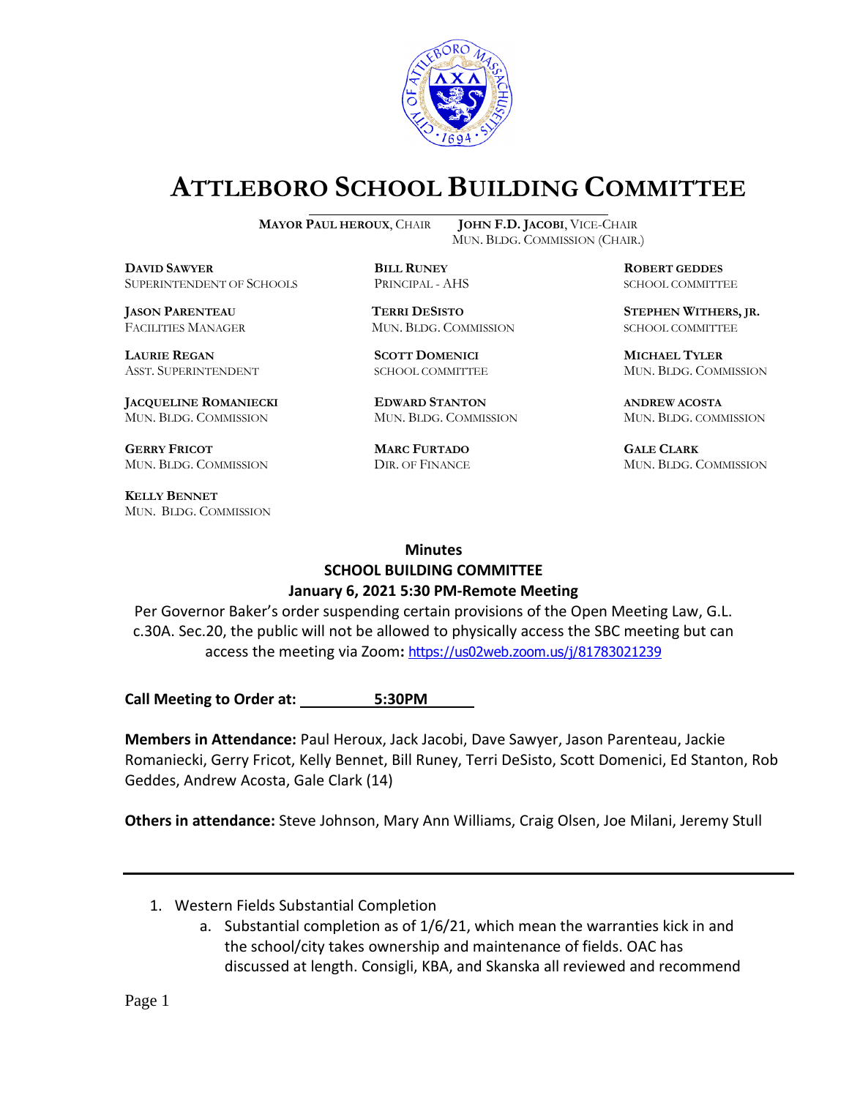

## **ATTLEBORO SCHOOL BUILDING COMMITTEE**

**DDAWYER BILL RUNEY ROBERT GEDDES** SUPERINTENDENT OF SCHOOLS PRINCIPAL - AHS SCHOOL COMMITTEE

**LAURIE REGAN SCOTT DOMENICI MICHAEL TYLER**

**JACQUELINE ROMANIECKI EDWARD STANTON ANDREW ACOSTA** MUN. BLDG. COMMISSION MUN. BLDG. COMMISSION MUN. BLDG. COMMISSION

**GERRY FRICOT MARC FURTADO GALE CLARK** MUN. BLDG. COMMISSION DIR. OF FINANCE MUN. BLDG. COMMISSION

**KELLY BENNET** MUN. BLDG. COMMISSION

**MAYOR PAUL HEROUX**, CHAIR **JOHN F.D. JACOBI**, VICE-CHAIR MUN. BLDG. COMMISSION (CHAIR.)

FACILITIES MANAGER MUN. BLDG. COMMISSION SCHOOL COMMITTEE

**JASON PARENTEAU TERRI DESISTO STEPHEN WITHERS, JR.**

ASST. SUPERINTENDENT SCHOOL COMMITTEE MUN. BLDG. COMMISSION

## **Minutes SCHOOL BUILDING COMMITTEE January 6, 2021 5:30 PM-Remote Meeting**

Per Governor Baker's order suspending certain provisions of the Open Meeting Law, G.L. c.30A. Sec.20, the public will not be allowed to physically access the SBC meeting but can access the meeting via Zoom**:** <https://us02web.zoom.us/j/81783021239>

Call Meeting to Order at: \_\_\_\_\_\_\_\_\_\_ 5:30PM

**Members in Attendance:** Paul Heroux, Jack Jacobi, Dave Sawyer, Jason Parenteau, Jackie Romaniecki, Gerry Fricot, Kelly Bennet, Bill Runey, Terri DeSisto, Scott Domenici, Ed Stanton, Rob Geddes, Andrew Acosta, Gale Clark (14)

**Others in attendance:** Steve Johnson, Mary Ann Williams, Craig Olsen, Joe Milani, Jeremy Stull

- 1. Western Fields Substantial Completion
	- a. Substantial completion as of 1/6/21, which mean the warranties kick in and the school/city takes ownership and maintenance of fields. OAC has discussed at length. Consigli, KBA, and Skanska all reviewed and recommend

Page 1